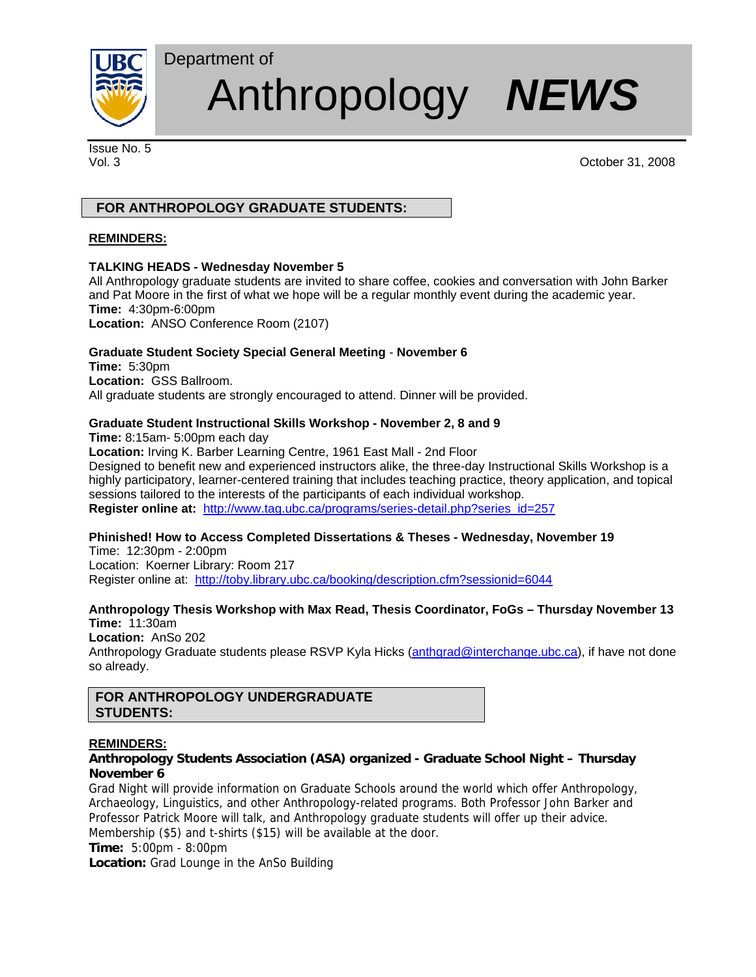

# Anthropology *NEWS*

Issue No. 5

Vol. 3 October 31, 2008

# **FOR ANTHROPOLOGY GRADUATE STUDENTS:**

# **REMINDERS:**

# **TALKING HEADS - Wednesday November 5**

Department of

All Anthropology graduate students are invited to share coffee, cookies and conversation with John Barker and Pat Moore in the first of what we hope will be a regular monthly event during the academic year. **Time:** 4:30pm-6:00pm

**Location:** ANSO Conference Room (2107)

# **Graduate Student Society Special General Meeting** - **November 6**

**Time:** 5:30pm **Location:** GSS Ballroom. All graduate students are strongly encouraged to attend. Dinner will be provided.

# **Graduate Student Instructional Skills Workshop - November 2, 8 and 9**

**Time:** 8:15am- 5:00pm each day **Location:** Irving K. Barber Learning Centre, 1961 East Mall - 2nd Floor Designed to benefit new and experienced instructors alike, the three-day Instructional Skills Workshop is a highly participatory, learner-centered training that includes teaching practice, theory application, and topical sessions tailored to the interests of the participants of each individual workshop. **Register online at:** http://www.tag.ubc.ca/programs/series-detail.php?series\_id=257

# **Phinished! How to Access Completed Dissertations & Theses - Wednesday, November 19**

Time: 12:30pm - 2:00pm Location: Koerner Library: Room 217 Register online at: http://toby.library.ubc.ca/booking/description.cfm?sessionid=6044

# **Anthropology Thesis Workshop with Max Read, Thesis Coordinator, FoGs – Thursday November 13**

**Time:** 11:30am **Location:** AnSo 202 Anthropology Graduate students please RSVP Kyla Hicks (anthgrad@interchange.ubc.ca), if have not done so already.

# **FOR ANTHROPOLOGY UNDERGRADUATE STUDENTS:**

# **REMINDERS:**

# **Anthropology Students Association (ASA) organized - Graduate School Night – Thursday November 6**

Grad Night will provide information on Graduate Schools around the world which offer Anthropology, Archaeology, Linguistics, and other Anthropology-related programs. Both Professor John Barker and Professor Patrick Moore will talk, and Anthropology graduate students will offer up their advice. Membership (\$5) and t-shirts (\$15) will be available at the door.

**Time:** 5:00pm - 8:00pm

**Location:** Grad Lounge in the AnSo Building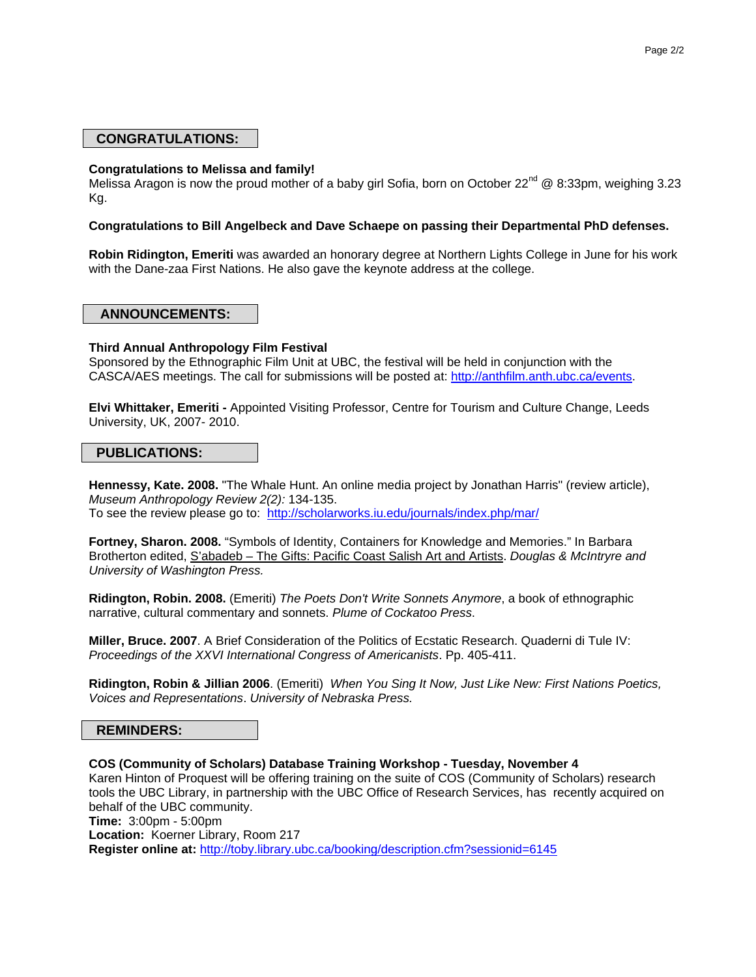# **CONGRATULATIONS:**

#### **Congratulations to Melissa and family!**

Melissa Aragon is now the proud mother of a baby girl Sofia, born on October 22<sup>nd</sup> @ 8:33pm, weighing 3.23 Kg.

#### **Congratulations to Bill Angelbeck and Dave Schaepe on passing their Departmental PhD defenses.**

**Robin Ridington, Emeriti** was awarded an honorary degree at Northern Lights College in June for his work with the Dane-zaa First Nations. He also gave the keynote address at the college.

#### **ANNOUNCEMENTS:**

#### **Third Annual Anthropology Film Festival**

Sponsored by the Ethnographic Film Unit at UBC, the festival will be held in conjunction with the CASCA/AES meetings. The call for submissions will be posted at: http://anthfilm.anth.ubc.ca/events.

**Elvi Whittaker, Emeriti -** Appointed Visiting Professor, Centre for Tourism and Culture Change, Leeds University, UK, 2007- 2010.

#### **PUBLICATIONS:**

**Hennessy, Kate. 2008.** "The Whale Hunt. An online media project by Jonathan Harris" (review article), *Museum Anthropology Review 2(2):* 134-135. To see the review please go to: http://scholarworks.iu.edu/journals/index.php/mar/

**Fortney, Sharon. 2008.** "Symbols of Identity, Containers for Knowledge and Memories." In Barbara Brotherton edited, S'abadeb – The Gifts: Pacific Coast Salish Art and Artists. *Douglas & McIntryre and University of Washington Press.* 

**Ridington, Robin. 2008.** (Emeriti) *The Poets Don't Write Sonnets Anymore*, a book of ethnographic narrative, cultural commentary and sonnets. *Plume of Cockatoo Press*.

**Miller, Bruce. 2007**. A Brief Consideration of the Politics of Ecstatic Research. Quaderni di Tule IV: *Proceedings of the XXVI International Congress of Americanists*. Pp. 405-411.

**Ridington, Robin & Jillian 2006**. (Emeriti) *When You Sing It Now, Just Like New: First Nations Poetics, Voices and Representations*. *University of Nebraska Press.*

### **REMINDERS:**

**COS (Community of Scholars) Database Training Workshop - Tuesday, November 4**  Karen Hinton of Proquest will be offering training on the suite of COS (Community of Scholars) research tools the UBC Library, in partnership with the UBC Office of Research Services, has recently acquired on behalf of the UBC community. **Time:** 3:00pm - 5:00pm **Location:** Koerner Library, Room 217 **Register online at:** http://toby.library.ubc.ca/booking/description.cfm?sessionid=6145